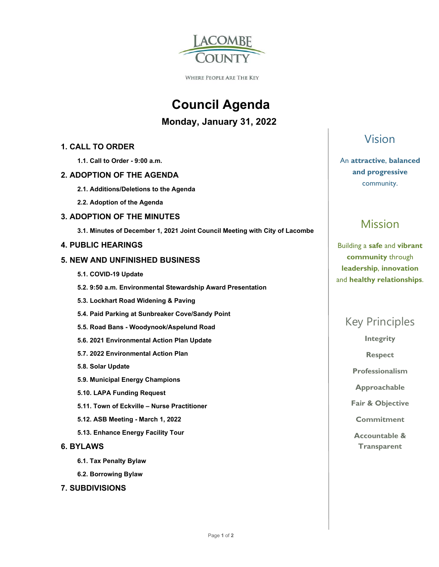

**WHERE PEOPLE ARE THE KEY** 

# **Council Agenda**

 **Monday, January 31, 2022** 

**1. CALL TO ORDER** 

 **1.1. Call to Order - 9:00 a.m.** 

#### **2. ADOPTION OF THE AGENDA**

- **2.1. Additions/Deletions to the Agenda**
- **2.2. Adoption of the Agenda**

#### **3. ADOPTION OF THE MINUTES**

 **3.1. Minutes of December 1, 2021 Joint Council Meeting with City of Lacombe** 

#### **4. PUBLIC HEARINGS**

#### **5. NEW AND UNFINISHED BUSINESS**

- **5.1. COVID-19 Update**
- **5.2. 9:50 a.m. Environmental Stewardship Award Presentation**
- **5.3. Lockhart Road Widening & Paving**
- **5.4. Paid Parking at Sunbreaker Cove/Sandy Point**
- **5.5. Road Bans Woodynook/Aspelund Road**
- **5.6. 2021 Environmental Action Plan Update**
- **5.7. 2022 Environmental Action Plan**
- **5.8. Solar Update**
- **5.9. Municipal Energy Champions**
- **5.10. LAPA Funding Request**
- **5.11. Town of Eckville Nurse Practitioner**
- **5.12. ASB Meeting March 1, 2022**
- **5.13. Enhance Energy Facility Tour**

#### **6. BYLAWS**

- **6.1. Tax Penalty Bylaw**
- **6.2. Borrowing Bylaw**

#### **7. SUBDIVISIONS**

### Vision

An **attractive**, **balanced and progressive**  community.

## Mission

Building a **safe** and **vibrant community** through **leadership**, **innovation**  and **healthy relationships**.

### Key Principles

**Integrity** 

**Respect** 

**Professionalism** 

**Approachable** 

**Fair & Objective** 

**Commitment** 

**Accountable & Transparent**